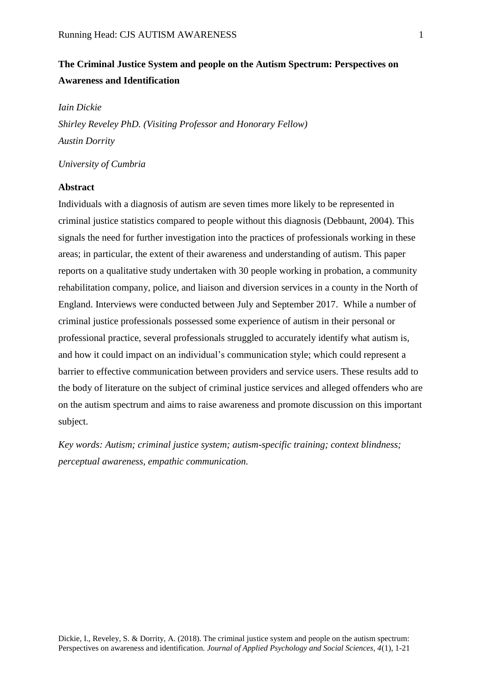# **The Criminal Justice System and people on the Autism Spectrum: Perspectives on Awareness and Identification**

*Iain Dickie*

*Shirley Reveley PhD. (Visiting Professor and Honorary Fellow) Austin Dorrity*

*University of Cumbria*

## **Abstract**

Individuals with a diagnosis of autism are seven times more likely to be represented in criminal justice statistics compared to people without this diagnosis (Debbaunt, 2004). This signals the need for further investigation into the practices of professionals working in these areas; in particular, the extent of their awareness and understanding of autism. This paper reports on a qualitative study undertaken with 30 people working in probation, a community rehabilitation company, police, and liaison and diversion services in a county in the North of England. Interviews were conducted between July and September 2017. While a number of criminal justice professionals possessed some experience of autism in their personal or professional practice, several professionals struggled to accurately identify what autism is, and how it could impact on an individual's communication style; which could represent a barrier to effective communication between providers and service users. These results add to the body of literature on the subject of criminal justice services and alleged offenders who are on the autism spectrum and aims to raise awareness and promote discussion on this important subject.

*Key words: Autism; criminal justice system; autism-specific training; context blindness; perceptual awareness, empathic communication.*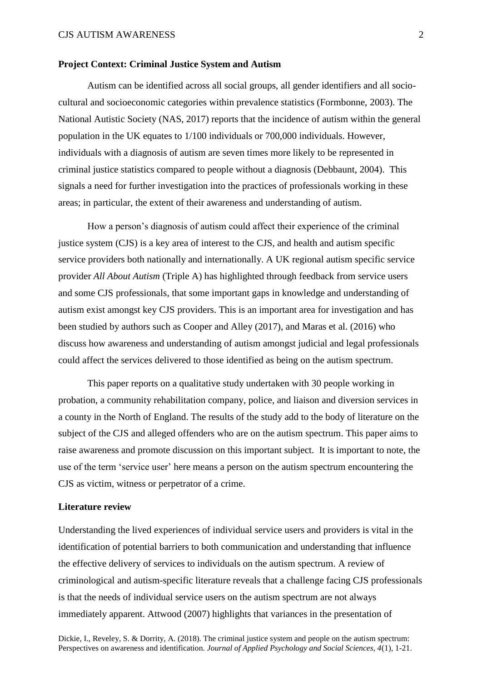## **Project Context: Criminal Justice System and Autism**

Autism can be identified across all social groups, all gender identifiers and all sociocultural and socioeconomic categories within prevalence statistics (Formbonne, 2003). The National Autistic Society (NAS, 2017) reports that the incidence of autism within the general population in the UK equates to 1/100 individuals or 700,000 individuals. However, individuals with a diagnosis of autism are seven times more likely to be represented in criminal justice statistics compared to people without a diagnosis (Debbaunt, 2004). This signals a need for further investigation into the practices of professionals working in these areas; in particular, the extent of their awareness and understanding of autism.

How a person's diagnosis of autism could affect their experience of the criminal justice system (CJS) is a key area of interest to the CJS, and health and autism specific service providers both nationally and internationally. A UK regional autism specific service provider *All About Autism* (Triple A) has highlighted through feedback from service users and some CJS professionals, that some important gaps in knowledge and understanding of autism exist amongst key CJS providers. This is an important area for investigation and has been studied by authors such as Cooper and Alley (2017), and Maras et al. (2016) who discuss how awareness and understanding of autism amongst judicial and legal professionals could affect the services delivered to those identified as being on the autism spectrum.

This paper reports on a qualitative study undertaken with 30 people working in probation, a community rehabilitation company, police, and liaison and diversion services in a county in the North of England. The results of the study add to the body of literature on the subject of the CJS and alleged offenders who are on the autism spectrum. This paper aims to raise awareness and promote discussion on this important subject. It is important to note, the use of the term 'service user' here means a person on the autism spectrum encountering the CJS as victim, witness or perpetrator of a crime.

## **Literature review**

Understanding the lived experiences of individual service users and providers is vital in the identification of potential barriers to both communication and understanding that influence the effective delivery of services to individuals on the autism spectrum. A review of criminological and autism-specific literature reveals that a challenge facing CJS professionals is that the needs of individual service users on the autism spectrum are not always immediately apparent. Attwood (2007) highlights that variances in the presentation of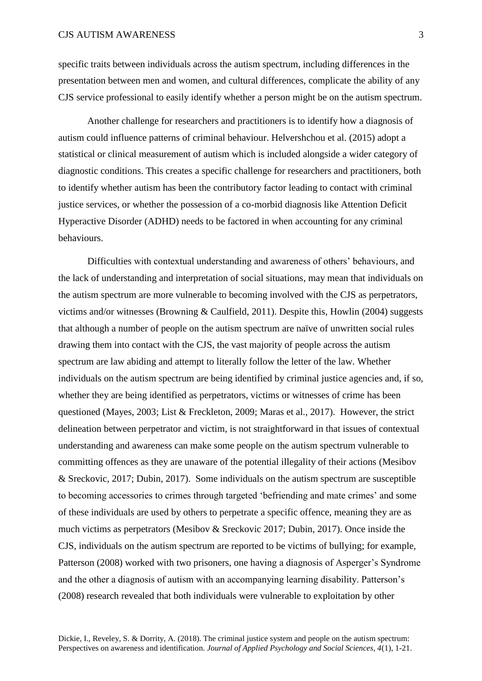specific traits between individuals across the autism spectrum, including differences in the presentation between men and women, and cultural differences, complicate the ability of any CJS service professional to easily identify whether a person might be on the autism spectrum.

Another challenge for researchers and practitioners is to identify how a diagnosis of autism could influence patterns of criminal behaviour. Helvershchou et al. (2015) adopt a statistical or clinical measurement of autism which is included alongside a wider category of diagnostic conditions. This creates a specific challenge for researchers and practitioners, both to identify whether autism has been the contributory factor leading to contact with criminal justice services, or whether the possession of a co-morbid diagnosis like Attention Deficit Hyperactive Disorder (ADHD) needs to be factored in when accounting for any criminal behaviours.

Difficulties with contextual understanding and awareness of others' behaviours, and the lack of understanding and interpretation of social situations, may mean that individuals on the autism spectrum are more vulnerable to becoming involved with the CJS as perpetrators, victims and/or witnesses (Browning & Caulfield, 2011). Despite this, Howlin (2004) suggests that although a number of people on the autism spectrum are naïve of unwritten social rules drawing them into contact with the CJS, the vast majority of people across the autism spectrum are law abiding and attempt to literally follow the letter of the law. Whether individuals on the autism spectrum are being identified by criminal justice agencies and, if so, whether they are being identified as perpetrators, victims or witnesses of crime has been questioned (Mayes, 2003; List & Freckleton, 2009; Maras et al., 2017). However, the strict delineation between perpetrator and victim, is not straightforward in that issues of contextual understanding and awareness can make some people on the autism spectrum vulnerable to committing offences as they are unaware of the potential illegality of their actions (Mesibov & Sreckovic, 2017; Dubin, 2017). Some individuals on the autism spectrum are susceptible to becoming accessories to crimes through targeted 'befriending and mate crimes' and some of these individuals are used by others to perpetrate a specific offence, meaning they are as much victims as perpetrators (Mesibov & Sreckovic 2017; Dubin, 2017). Once inside the CJS, individuals on the autism spectrum are reported to be victims of bullying; for example, Patterson (2008) worked with two prisoners, one having a diagnosis of Asperger's Syndrome and the other a diagnosis of autism with an accompanying learning disability. Patterson's (2008) research revealed that both individuals were vulnerable to exploitation by other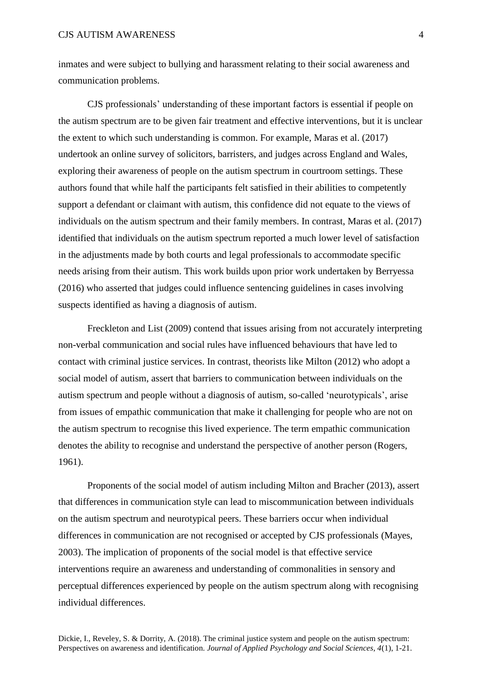inmates and were subject to bullying and harassment relating to their social awareness and communication problems.

CJS professionals' understanding of these important factors is essential if people on the autism spectrum are to be given fair treatment and effective interventions, but it is unclear the extent to which such understanding is common. For example, Maras et al. (2017) undertook an online survey of solicitors, barristers, and judges across England and Wales, exploring their awareness of people on the autism spectrum in courtroom settings. These authors found that while half the participants felt satisfied in their abilities to competently support a defendant or claimant with autism, this confidence did not equate to the views of individuals on the autism spectrum and their family members. In contrast, Maras et al. (2017) identified that individuals on the autism spectrum reported a much lower level of satisfaction in the adjustments made by both courts and legal professionals to accommodate specific needs arising from their autism. This work builds upon prior work undertaken by Berryessa (2016) who asserted that judges could influence sentencing guidelines in cases involving suspects identified as having a diagnosis of autism.

Freckleton and List (2009) contend that issues arising from not accurately interpreting non-verbal communication and social rules have influenced behaviours that have led to contact with criminal justice services. In contrast, theorists like Milton (2012) who adopt a social model of autism, assert that barriers to communication between individuals on the autism spectrum and people without a diagnosis of autism, so-called 'neurotypicals', arise from issues of empathic communication that make it challenging for people who are not on the autism spectrum to recognise this lived experience. The term empathic communication denotes the ability to recognise and understand the perspective of another person (Rogers, 1961).

Proponents of the social model of autism including Milton and Bracher (2013), assert that differences in communication style can lead to miscommunication between individuals on the autism spectrum and neurotypical peers. These barriers occur when individual differences in communication are not recognised or accepted by CJS professionals (Mayes, 2003). The implication of proponents of the social model is that effective service interventions require an awareness and understanding of commonalities in sensory and perceptual differences experienced by people on the autism spectrum along with recognising individual differences.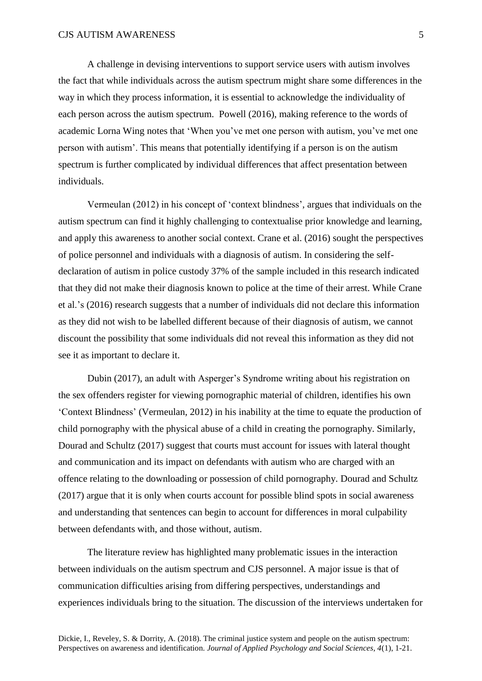A challenge in devising interventions to support service users with autism involves the fact that while individuals across the autism spectrum might share some differences in the way in which they process information, it is essential to acknowledge the individuality of each person across the autism spectrum. Powell (2016), making reference to the words of academic Lorna Wing notes that 'When you've met one person with autism, you've met one person with autism'. This means that potentially identifying if a person is on the autism spectrum is further complicated by individual differences that affect presentation between individuals.

Vermeulan (2012) in his concept of 'context blindness', argues that individuals on the autism spectrum can find it highly challenging to contextualise prior knowledge and learning, and apply this awareness to another social context. Crane et al. (2016) sought the perspectives of police personnel and individuals with a diagnosis of autism. In considering the selfdeclaration of autism in police custody 37% of the sample included in this research indicated that they did not make their diagnosis known to police at the time of their arrest. While Crane et al.'s (2016) research suggests that a number of individuals did not declare this information as they did not wish to be labelled different because of their diagnosis of autism, we cannot discount the possibility that some individuals did not reveal this information as they did not see it as important to declare it.

Dubin (2017), an adult with Asperger's Syndrome writing about his registration on the sex offenders register for viewing pornographic material of children, identifies his own 'Context Blindness' (Vermeulan, 2012) in his inability at the time to equate the production of child pornography with the physical abuse of a child in creating the pornography. Similarly, Dourad and Schultz (2017) suggest that courts must account for issues with lateral thought and communication and its impact on defendants with autism who are charged with an offence relating to the downloading or possession of child pornography. Dourad and Schultz (2017) argue that it is only when courts account for possible blind spots in social awareness and understanding that sentences can begin to account for differences in moral culpability between defendants with, and those without, autism.

The literature review has highlighted many problematic issues in the interaction between individuals on the autism spectrum and CJS personnel. A major issue is that of communication difficulties arising from differing perspectives, understandings and experiences individuals bring to the situation. The discussion of the interviews undertaken for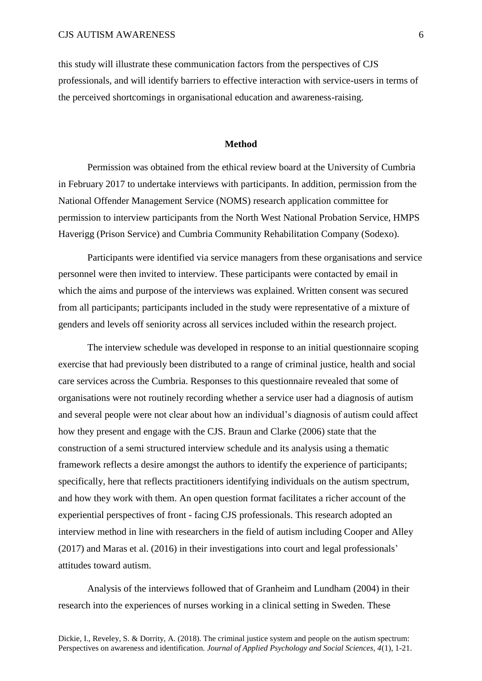this study will illustrate these communication factors from the perspectives of CJS professionals, and will identify barriers to effective interaction with service-users in terms of the perceived shortcomings in organisational education and awareness-raising.

## **Method**

Permission was obtained from the ethical review board at the University of Cumbria in February 2017 to undertake interviews with participants. In addition, permission from the National Offender Management Service (NOMS) research application committee for permission to interview participants from the North West National Probation Service, HMPS Haverigg (Prison Service) and Cumbria Community Rehabilitation Company (Sodexo).

Participants were identified via service managers from these organisations and service personnel were then invited to interview. These participants were contacted by email in which the aims and purpose of the interviews was explained. Written consent was secured from all participants; participants included in the study were representative of a mixture of genders and levels off seniority across all services included within the research project.

The interview schedule was developed in response to an initial questionnaire scoping exercise that had previously been distributed to a range of criminal justice, health and social care services across the Cumbria. Responses to this questionnaire revealed that some of organisations were not routinely recording whether a service user had a diagnosis of autism and several people were not clear about how an individual's diagnosis of autism could affect how they present and engage with the CJS. Braun and Clarke (2006) state that the construction of a semi structured interview schedule and its analysis using a thematic framework reflects a desire amongst the authors to identify the experience of participants; specifically, here that reflects practitioners identifying individuals on the autism spectrum, and how they work with them. An open question format facilitates a richer account of the experiential perspectives of front - facing CJS professionals. This research adopted an interview method in line with researchers in the field of autism including Cooper and Alley (2017) and Maras et al. (2016) in their investigations into court and legal professionals' attitudes toward autism.

Analysis of the interviews followed that of Granheim and Lundham (2004) in their research into the experiences of nurses working in a clinical setting in Sweden. These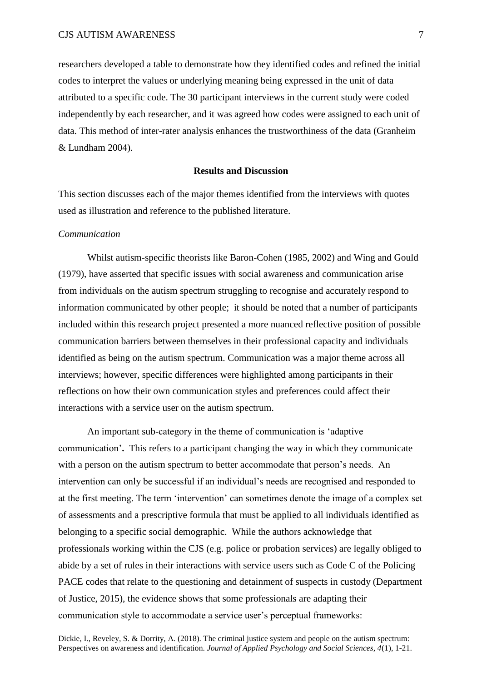researchers developed a table to demonstrate how they identified codes and refined the initial codes to interpret the values or underlying meaning being expressed in the unit of data attributed to a specific code. The 30 participant interviews in the current study were coded independently by each researcher, and it was agreed how codes were assigned to each unit of data. This method of inter-rater analysis enhances the trustworthiness of the data (Granheim & Lundham 2004).

## **Results and Discussion**

This section discusses each of the major themes identified from the interviews with quotes used as illustration and reference to the published literature.

## *Communication*

 Whilst autism-specific theorists like Baron-Cohen (1985, 2002) and Wing and Gould (1979), have asserted that specific issues with social awareness and communication arise from individuals on the autism spectrum struggling to recognise and accurately respond to information communicated by other people; it should be noted that a number of participants included within this research project presented a more nuanced reflective position of possible communication barriers between themselves in their professional capacity and individuals identified as being on the autism spectrum. Communication was a major theme across all interviews; however, specific differences were highlighted among participants in their reflections on how their own communication styles and preferences could affect their interactions with a service user on the autism spectrum.

An important sub-category in the theme of communication is 'adaptive communication'**.** This refers to a participant changing the way in which they communicate with a person on the autism spectrum to better accommodate that person's needs. An intervention can only be successful if an individual's needs are recognised and responded to at the first meeting. The term 'intervention' can sometimes denote the image of a complex set of assessments and a prescriptive formula that must be applied to all individuals identified as belonging to a specific social demographic. While the authors acknowledge that professionals working within the CJS (e.g. police or probation services) are legally obliged to abide by a set of rules in their interactions with service users such as Code C of the Policing PACE codes that relate to the questioning and detainment of suspects in custody (Department of Justice, 2015), the evidence shows that some professionals are adapting their communication style to accommodate a service user's perceptual frameworks: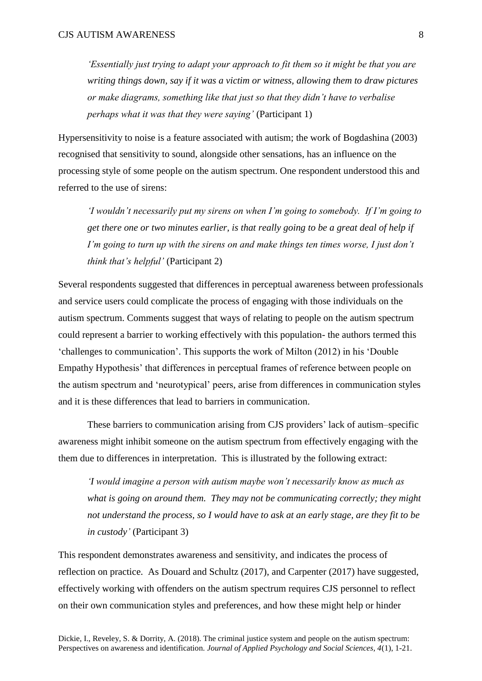*'Essentially just trying to adapt your approach to fit them so it might be that you are writing things down, say if it was a victim or witness, allowing them to draw pictures or make diagrams, something like that just so that they didn't have to verbalise perhaps what it was that they were saying'* (Participant 1)

Hypersensitivity to noise is a feature associated with autism; the work of Bogdashina (2003) recognised that sensitivity to sound, alongside other sensations, has an influence on the processing style of some people on the autism spectrum. One respondent understood this and referred to the use of sirens:

*'I wouldn't necessarily put my sirens on when I'm going to somebody. If I'm going to get there one or two minutes earlier, is that really going to be a great deal of help if I'm going to turn up with the sirens on and make things ten times worse, I just don't think that's helpful'* (Participant 2)

Several respondents suggested that differences in perceptual awareness between professionals and service users could complicate the process of engaging with those individuals on the autism spectrum. Comments suggest that ways of relating to people on the autism spectrum could represent a barrier to working effectively with this population- the authors termed this 'challenges to communication'. This supports the work of Milton (2012) in his 'Double Empathy Hypothesis' that differences in perceptual frames of reference between people on the autism spectrum and 'neurotypical' peers, arise from differences in communication styles and it is these differences that lead to barriers in communication.

These barriers to communication arising from CJS providers' lack of autism–specific awareness might inhibit someone on the autism spectrum from effectively engaging with the them due to differences in interpretation. This is illustrated by the following extract:

*'I would imagine a person with autism maybe won't necessarily know as much as what is going on around them. They may not be communicating correctly; they might not understand the process, so I would have to ask at an early stage, are they fit to be in custody'* (Participant 3)

This respondent demonstrates awareness and sensitivity, and indicates the process of reflection on practice. As Douard and Schultz (2017), and Carpenter (2017) have suggested, effectively working with offenders on the autism spectrum requires CJS personnel to reflect on their own communication styles and preferences, and how these might help or hinder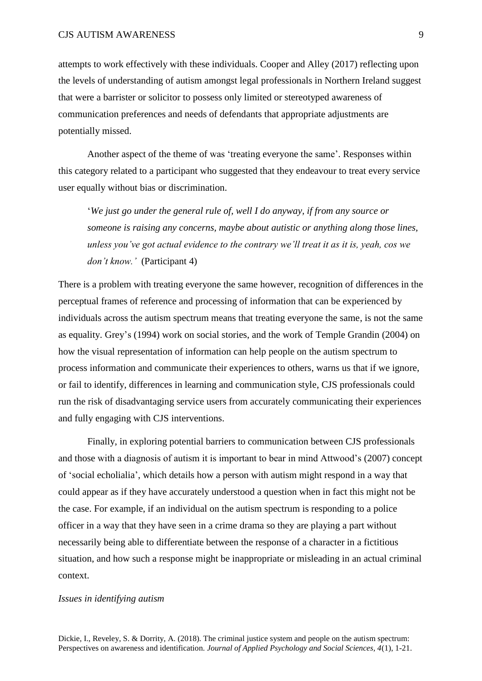attempts to work effectively with these individuals. Cooper and Alley (2017) reflecting upon the levels of understanding of autism amongst legal professionals in Northern Ireland suggest that were a barrister or solicitor to possess only limited or stereotyped awareness of communication preferences and needs of defendants that appropriate adjustments are potentially missed.

Another aspect of the theme of was 'treating everyone the same'. Responses within this category related to a participant who suggested that they endeavour to treat every service user equally without bias or discrimination.

'*We just go under the general rule of, well I do anyway, if from any source or someone is raising any concerns, maybe about autistic or anything along those lines, unless you've got actual evidence to the contrary we'll treat it as it is, yeah, cos we don't know.'* (Participant 4)

There is a problem with treating everyone the same however, recognition of differences in the perceptual frames of reference and processing of information that can be experienced by individuals across the autism spectrum means that treating everyone the same, is not the same as equality. Grey's (1994) work on social stories, and the work of Temple Grandin (2004) on how the visual representation of information can help people on the autism spectrum to process information and communicate their experiences to others, warns us that if we ignore, or fail to identify, differences in learning and communication style, CJS professionals could run the risk of disadvantaging service users from accurately communicating their experiences and fully engaging with CJS interventions.

Finally, in exploring potential barriers to communication between CJS professionals and those with a diagnosis of autism it is important to bear in mind Attwood's (2007) concept of 'social echolialia', which details how a person with autism might respond in a way that could appear as if they have accurately understood a question when in fact this might not be the case. For example, if an individual on the autism spectrum is responding to a police officer in a way that they have seen in a crime drama so they are playing a part without necessarily being able to differentiate between the response of a character in a fictitious situation, and how such a response might be inappropriate or misleading in an actual criminal context.

## *Issues in identifying autism*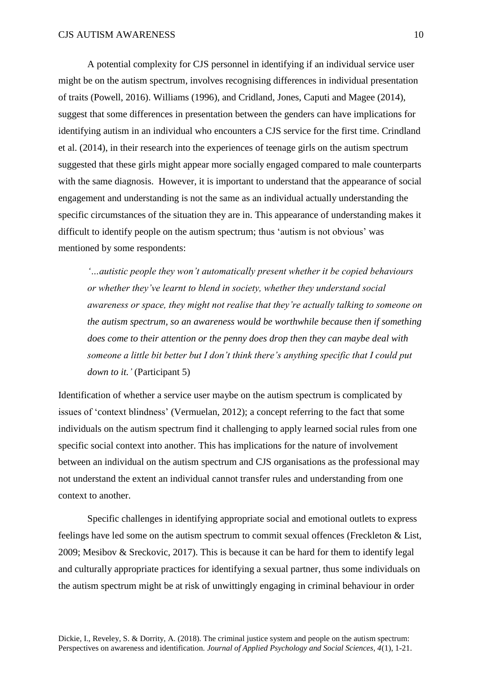A potential complexity for CJS personnel in identifying if an individual service user might be on the autism spectrum, involves recognising differences in individual presentation of traits (Powell, 2016). Williams (1996), and Cridland, Jones, Caputi and Magee (2014), suggest that some differences in presentation between the genders can have implications for identifying autism in an individual who encounters a CJS service for the first time. Crindland et al. (2014), in their research into the experiences of teenage girls on the autism spectrum suggested that these girls might appear more socially engaged compared to male counterparts with the same diagnosis. However, it is important to understand that the appearance of social engagement and understanding is not the same as an individual actually understanding the specific circumstances of the situation they are in. This appearance of understanding makes it difficult to identify people on the autism spectrum; thus 'autism is not obvious' was mentioned by some respondents:

*'…autistic people they won't automatically present whether it be copied behaviours or whether they've learnt to blend in society, whether they understand social awareness or space, they might not realise that they're actually talking to someone on the autism spectrum, so an awareness would be worthwhile because then if something does come to their attention or the penny does drop then they can maybe deal with someone a little bit better but I don't think there's anything specific that I could put down to it.'* (Participant 5)

Identification of whether a service user maybe on the autism spectrum is complicated by issues of 'context blindness' (Vermuelan, 2012); a concept referring to the fact that some individuals on the autism spectrum find it challenging to apply learned social rules from one specific social context into another. This has implications for the nature of involvement between an individual on the autism spectrum and CJS organisations as the professional may not understand the extent an individual cannot transfer rules and understanding from one context to another.

Specific challenges in identifying appropriate social and emotional outlets to express feelings have led some on the autism spectrum to commit sexual offences (Freckleton & List, 2009; Mesibov & Sreckovic, 2017). This is because it can be hard for them to identify legal and culturally appropriate practices for identifying a sexual partner, thus some individuals on the autism spectrum might be at risk of unwittingly engaging in criminal behaviour in order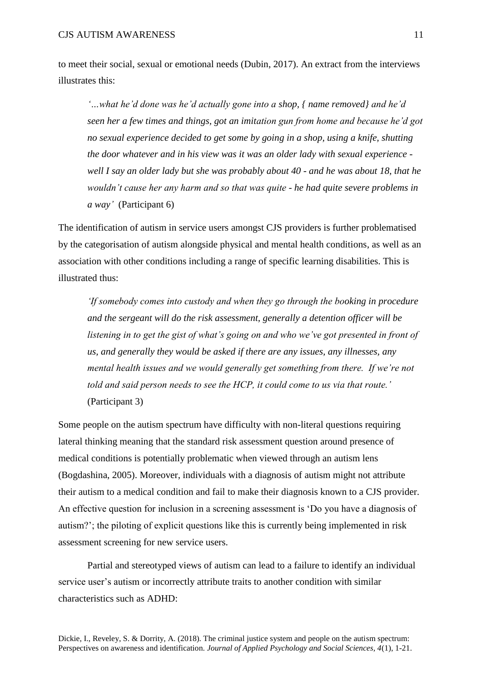to meet their social, sexual or emotional needs (Dubin, 2017). An extract from the interviews illustrates this:

*'…what he'd done was he'd actually gone into a shop, { name removed} and he'd seen her a few times and things, got an imitation gun from home and because he'd got no sexual experience decided to get some by going in a shop, using a knife, shutting the door whatever and in his view was it was an older lady with sexual experience well I say an older lady but she was probably about 40 - and he was about 18, that he wouldn't cause her any harm and so that was quite - he had quite severe problems in a way'* (Participant 6)

The identification of autism in service users amongst CJS providers is further problematised by the categorisation of autism alongside physical and mental health conditions, as well as an association with other conditions including a range of specific learning disabilities. This is illustrated thus:

*'If somebody comes into custody and when they go through the booking in procedure and the sergeant will do the risk assessment, generally a detention officer will be listening in to get the gist of what's going on and who we've got presented in front of us, and generally they would be asked if there are any issues, any illnesses, any mental health issues and we would generally get something from there. If we're not told and said person needs to see the HCP, it could come to us via that route.'*  (Participant 3)

Some people on the autism spectrum have difficulty with non-literal questions requiring lateral thinking meaning that the standard risk assessment question around presence of medical conditions is potentially problematic when viewed through an autism lens (Bogdashina, 2005). Moreover, individuals with a diagnosis of autism might not attribute their autism to a medical condition and fail to make their diagnosis known to a CJS provider. An effective question for inclusion in a screening assessment is 'Do you have a diagnosis of autism?'; the piloting of explicit questions like this is currently being implemented in risk assessment screening for new service users.

Partial and stereotyped views of autism can lead to a failure to identify an individual service user's autism or incorrectly attribute traits to another condition with similar characteristics such as ADHD: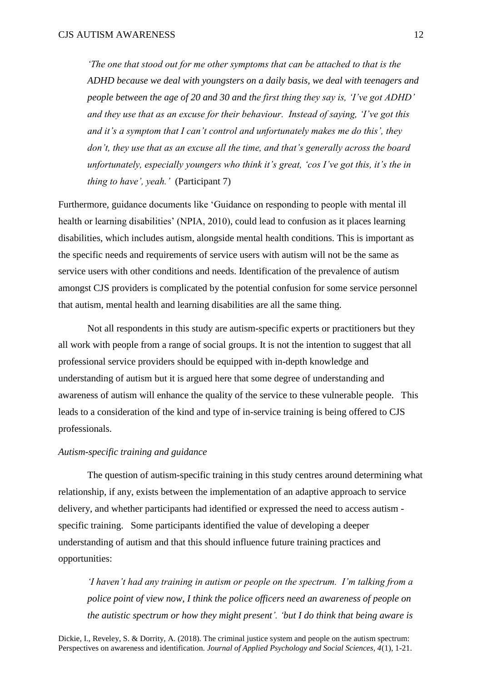*'The one that stood out for me other symptoms that can be attached to that is the ADHD because we deal with youngsters on a daily basis, we deal with teenagers and people between the age of 20 and 30 and the first thing they say is, 'I've got ADHD' and they use that as an excuse for their behaviour. Instead of saying, 'I've got this and it's a symptom that I can't control and unfortunately makes me do this', they don't, they use that as an excuse all the time, and that's generally across the board unfortunately, especially youngers who think it's great, 'cos I've got this, it's the in thing to have', yeah.'* (Participant 7)

Furthermore, guidance documents like 'Guidance on responding to people with mental ill health or learning disabilities' (NPIA, 2010), could lead to confusion as it places learning disabilities, which includes autism, alongside mental health conditions. This is important as the specific needs and requirements of service users with autism will not be the same as service users with other conditions and needs. Identification of the prevalence of autism amongst CJS providers is complicated by the potential confusion for some service personnel that autism, mental health and learning disabilities are all the same thing.

Not all respondents in this study are autism-specific experts or practitioners but they all work with people from a range of social groups. It is not the intention to suggest that all professional service providers should be equipped with in-depth knowledge and understanding of autism but it is argued here that some degree of understanding and awareness of autism will enhance the quality of the service to these vulnerable people. This leads to a consideration of the kind and type of in-service training is being offered to CJS professionals.

# *Autism-specific training and guidance*

The question of autism-specific training in this study centres around determining what relationship, if any, exists between the implementation of an adaptive approach to service delivery, and whether participants had identified or expressed the need to access autism specific training. Some participants identified the value of developing a deeper understanding of autism and that this should influence future training practices and opportunities:

*'I haven't had any training in autism or people on the spectrum. I'm talking from a police point of view now, I think the police officers need an awareness of people on the autistic spectrum or how they might present'. 'but I do think that being aware is*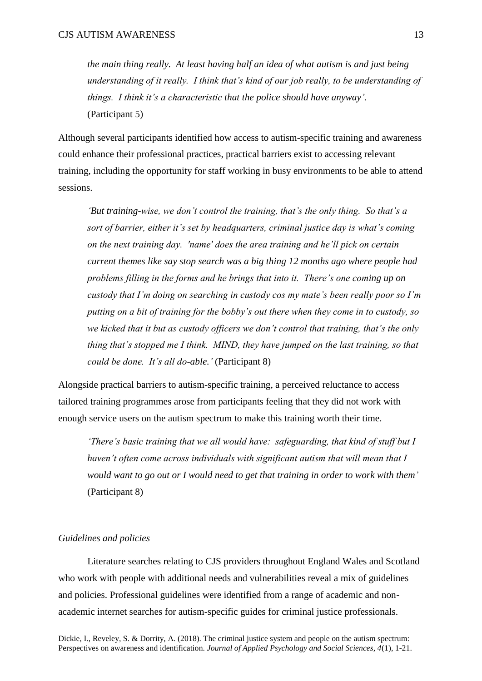*the main thing really. At least having half an idea of what autism is and just being understanding of it really. I think that's kind of our job really, to be understanding of things. I think it's a characteristic that the police should have anyway'.*  (Participant 5)

Although several participants identified how access to autism-specific training and awareness could enhance their professional practices, practical barriers exist to accessing relevant training, including the opportunity for staff working in busy environments to be able to attend sessions.

*'But training-wise, we don't control the training, that's the only thing. So that's a sort of barrier, either it's set by headquarters, criminal justice day is what's coming on the next training day. 'name' does the area training and he'll pick on certain current themes like say stop search was a big thing 12 months ago where people had problems filling in the forms and he brings that into it. There's one coming up on custody that I'm doing on searching in custody cos my mate's been really poor so I'm putting on a bit of training for the bobby's out there when they come in to custody, so we kicked that it but as custody officers we don't control that training, that's the only thing that's stopped me I think. MIND, they have jumped on the last training, so that could be done. It's all do-able.'* (Participant 8)

Alongside practical barriers to autism-specific training, a perceived reluctance to access tailored training programmes arose from participants feeling that they did not work with enough service users on the autism spectrum to make this training worth their time.

*'There's basic training that we all would have: safeguarding, that kind of stuff but I haven't often come across individuals with significant autism that will mean that I would want to go out or I would need to get that training in order to work with them'* (Participant 8)

## *Guidelines and policies*

Literature searches relating to CJS providers throughout England Wales and Scotland who work with people with additional needs and vulnerabilities reveal a mix of guidelines and policies. Professional guidelines were identified from a range of academic and nonacademic internet searches for autism-specific guides for criminal justice professionals.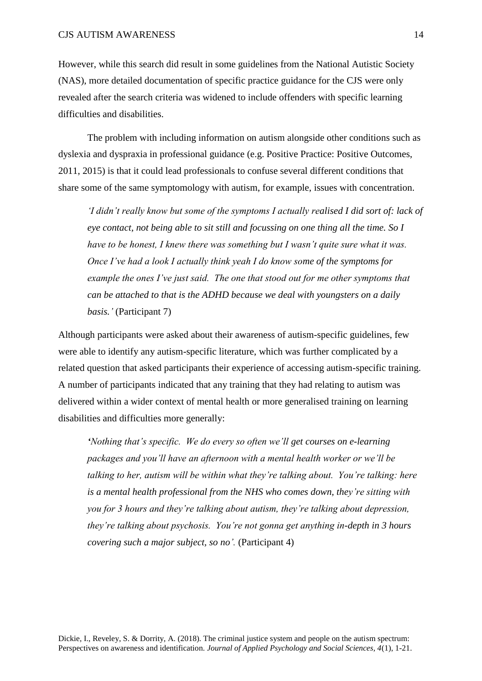However, while this search did result in some guidelines from the National Autistic Society (NAS), more detailed documentation of specific practice guidance for the CJS were only revealed after the search criteria was widened to include offenders with specific learning difficulties and disabilities.

The problem with including information on autism alongside other conditions such as dyslexia and dyspraxia in professional guidance (e.g. Positive Practice: Positive Outcomes, 2011, 2015) is that it could lead professionals to confuse several different conditions that share some of the same symptomology with autism, for example, issues with concentration.

*'I didn't really know but some of the symptoms I actually realised I did sort of: lack of eye contact, not being able to sit still and focussing on one thing all the time. So I have to be honest, I knew there was something but I wasn't quite sure what it was. Once I've had a look I actually think yeah I do know some of the symptoms for example the ones I've just said. The one that stood out for me other symptoms that can be attached to that is the ADHD because we deal with youngsters on a daily basis.'* (Participant 7)

Although participants were asked about their awareness of autism-specific guidelines, few were able to identify any autism-specific literature, which was further complicated by a related question that asked participants their experience of accessing autism-specific training. A number of participants indicated that any training that they had relating to autism was delivered within a wider context of mental health or more generalised training on learning disabilities and difficulties more generally:

*'Nothing that's specific. We do every so often we'll get courses on e-learning packages and you'll have an afternoon with a mental health worker or we'll be talking to her, autism will be within what they're talking about. You're talking: here is a mental health professional from the NHS who comes down, they're sitting with you for 3 hours and they're talking about autism, they're talking about depression, they're talking about psychosis. You're not gonna get anything in-depth in 3 hours covering such a major subject, so no'.* (Participant 4)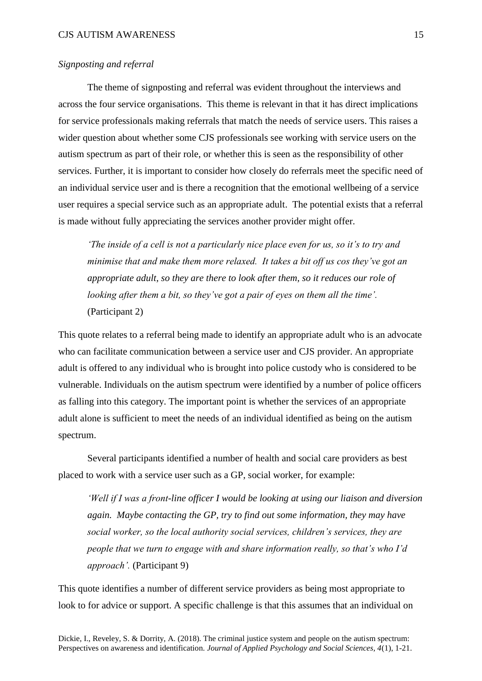# *Signposting and referral*

The theme of signposting and referral was evident throughout the interviews and across the four service organisations. This theme is relevant in that it has direct implications for service professionals making referrals that match the needs of service users. This raises a wider question about whether some CJS professionals see working with service users on the autism spectrum as part of their role, or whether this is seen as the responsibility of other services. Further, it is important to consider how closely do referrals meet the specific need of an individual service user and is there a recognition that the emotional wellbeing of a service user requires a special service such as an appropriate adult. The potential exists that a referral is made without fully appreciating the services another provider might offer.

*'The inside of a cell is not a particularly nice place even for us, so it's to try and minimise that and make them more relaxed. It takes a bit off us cos they've got an appropriate adult, so they are there to look after them, so it reduces our role of looking after them a bit, so they've got a pair of eyes on them all the time'.*  (Participant 2)

This quote relates to a referral being made to identify an appropriate adult who is an advocate who can facilitate communication between a service user and CJS provider. An appropriate adult is offered to any individual who is brought into police custody who is considered to be vulnerable. Individuals on the autism spectrum were identified by a number of police officers as falling into this category. The important point is whether the services of an appropriate adult alone is sufficient to meet the needs of an individual identified as being on the autism spectrum.

Several participants identified a number of health and social care providers as best placed to work with a service user such as a GP, social worker, for example:

*'Well if I was a front-line officer I would be looking at using our liaison and diversion again. Maybe contacting the GP, try to find out some information, they may have social worker, so the local authority social services, children's services, they are people that we turn to engage with and share information really, so that's who I'd approach'.* (Participant 9)

This quote identifies a number of different service providers as being most appropriate to look to for advice or support. A specific challenge is that this assumes that an individual on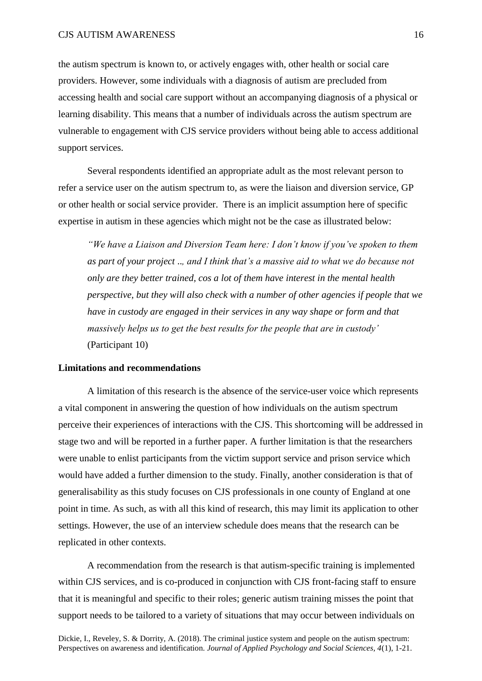the autism spectrum is known to, or actively engages with, other health or social care providers. However, some individuals with a diagnosis of autism are precluded from accessing health and social care support without an accompanying diagnosis of a physical or learning disability. This means that a number of individuals across the autism spectrum are vulnerable to engagement with CJS service providers without being able to access additional support services.

Several respondents identified an appropriate adult as the most relevant person to refer a service user on the autism spectrum to, as were the liaison and diversion service, GP or other health or social service provider. There is an implicit assumption here of specific expertise in autism in these agencies which might not be the case as illustrated below:

*"We have a Liaison and Diversion Team here: I don't know if you've spoken to them as part of your project* ..*, and I think that's a massive aid to what we do because not only are they better trained, cos a lot of them have interest in the mental health perspective, but they will also check with a number of other agencies if people that we have in custody are engaged in their services in any way shape or form and that massively helps us to get the best results for the people that are in custody'*  (Participant 10)

# **Limitations and recommendations**

A limitation of this research is the absence of the service-user voice which represents a vital component in answering the question of how individuals on the autism spectrum perceive their experiences of interactions with the CJS. This shortcoming will be addressed in stage two and will be reported in a further paper. A further limitation is that the researchers were unable to enlist participants from the victim support service and prison service which would have added a further dimension to the study. Finally, another consideration is that of generalisability as this study focuses on CJS professionals in one county of England at one point in time. As such, as with all this kind of research, this may limit its application to other settings. However, the use of an interview schedule does means that the research can be replicated in other contexts.

A recommendation from the research is that autism-specific training is implemented within CJS services, and is co-produced in conjunction with CJS front-facing staff to ensure that it is meaningful and specific to their roles; generic autism training misses the point that support needs to be tailored to a variety of situations that may occur between individuals on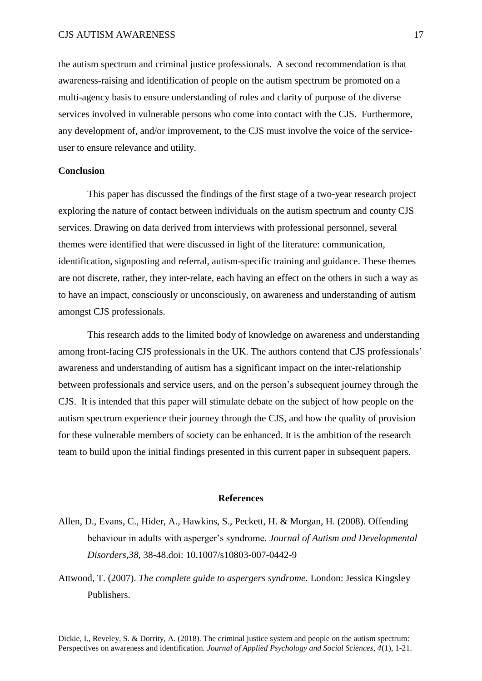## CJS AUTISM AWARENESS 17

the autism spectrum and criminal justice professionals. A second recommendation is that awareness-raising and identification of people on the autism spectrum be promoted on a multi-agency basis to ensure understanding of roles and clarity of purpose of the diverse services involved in vulnerable persons who come into contact with the CJS. Furthermore, any development of, and/or improvement, to the CJS must involve the voice of the serviceuser to ensure relevance and utility.

## **Conclusion**

This paper has discussed the findings of the first stage of a two-year research project exploring the nature of contact between individuals on the autism spectrum and county CJS services. Drawing on data derived from interviews with professional personnel, several themes were identified that were discussed in light of the literature: communication, identification, signposting and referral, autism-specific training and guidance. These themes are not discrete, rather, they inter-relate, each having an effect on the others in such a way as to have an impact, consciously or unconsciously, on awareness and understanding of autism amongst CJS professionals.

This research adds to the limited body of knowledge on awareness and understanding among front-facing CJS professionals in the UK. The authors contend that CJS professionals' awareness and understanding of autism has a significant impact on the inter-relationship between professionals and service users, and on the person's subsequent journey through the CJS. It is intended that this paper will stimulate debate on the subject of how people on the autism spectrum experience their journey through the CJS, and how the quality of provision for these vulnerable members of society can be enhanced. It is the ambition of the research team to build upon the initial findings presented in this current paper in subsequent papers.

### **References**

- Allen, D., Evans, C., Hider, A., Hawkins, S., Peckett, H. & Morgan, H. (2008). Offending behaviour in adults with asperger's syndrome. *Journal of Autism and Developmental Disorders*,*38*, 38-48.doi: [10.1007/s10803-007-0442-9](https://doi.org/10.1007/s10803-007-0442-9)
- Attwood, T. (2007). *The complete guide to aspergers syndrome.* London: Jessica Kingsley Publishers.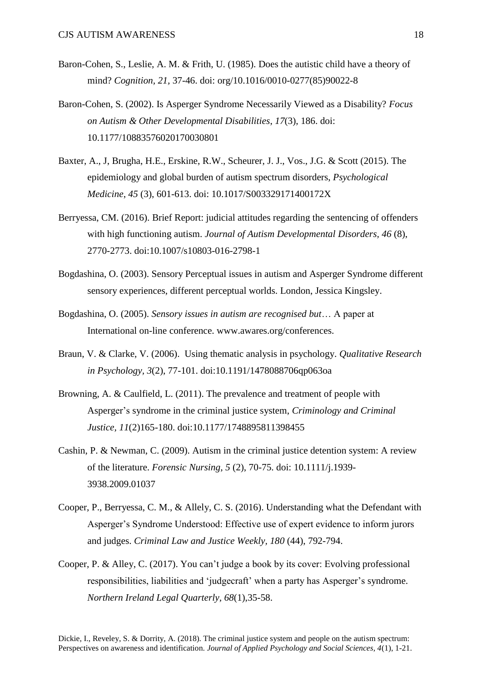- Baron-Cohen, S., Leslie, A. M. & Frith, U. (1985). Does the autistic child have a theory of mind? *Cognition, 21,* 37-46. doi: [org/10.1016/0010-0277\(85\)90022-8](https://doi.org/10.1016/0010-0277(85)90022-8)
- Baron-Cohen, S. (2002). Is Asperger Syndrome Necessarily Viewed as a Disability? *Focus on Autism & Other Developmental Disabilities*, *17*(3), 186. doi: [10.1177/10883576020170030801](https://doi.org/10.1177/10883576020170030801)
- Baxter, A., J, Brugha, H.E., Erskine, R.W., Scheurer, J. J., Vos., J.G. & Scott (2015). The epidemiology and global burden of autism spectrum disorders, *Psychological Medicine*, *45* (3), 601-613. doi: [10.1017/S003329171400172X](https://doi.org/10.1017/S003329171400172X)
- Berryessa, CM. (2016). Brief Report: judicial attitudes regarding the sentencing of offenders with high functioning autism. *Journal of Autism Developmental Disorders, 46* (8), 2770-2773. doi:10.1007/s10803-016-2798-1
- Bogdashina, O. (2003). Sensory Perceptual issues in autism and Asperger Syndrome different sensory experiences, different perceptual worlds. London, Jessica Kingsley.
- Bogdashina, O. (2005). *Sensory issues in autism are recognised but*… A paper at International on-line conference. www.awares.org/conferences.
- Braun, V. & Clarke, V. (2006). Using thematic analysis in psychology. *Qualitative Research in Psychology, 3*(2), 77-101. doi:10.1191/1478088706qp063oa
- Browning, A. & Caulfield, L. (2011). The prevalence and treatment of people with Asperger's syndrome in the criminal justice system, *Criminology and Criminal Justice, 11*(2)165-180. doi:10.1177/1748895811398455
- Cashin, P. & Newman, C. (2009). Autism in the criminal justice detention system: A review of the literature. *Forensic Nursing, 5* (2), 70-75. doi: 10.1111/j.1939- 3938.2009.01037
- Cooper, P., Berryessa, C. M., & Allely, C. S. (2016). Understanding what the Defendant with Asperger's Syndrome Understood: Effective use of expert evidence to inform jurors and judges. *Criminal Law and Justice Weekly, 180* (44), 792-794.
- Cooper, P. & Alley, C. (2017). You can't judge a book by its cover: Evolving professional responsibilities, liabilities and 'judgecraft' when a party has Asperger's syndrome. *Northern Ireland Legal Quarterly, 68*(1),35-58.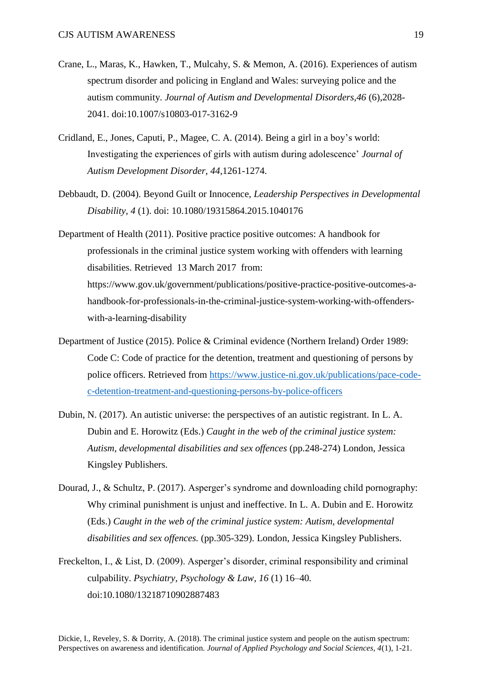- Crane, L., Maras, K., Hawken, T., Mulcahy, S. & Memon, A. (2016). Experiences of autism spectrum disorder and policing in England and Wales: surveying police and the autism community. *Journal of Autism and Developmental Disorders*,*46* (6),2028- 2041. doi:10.1007/s10803-017-3162-9
- Cridland, E., Jones, Caputi, P., Magee, C. A. (2014). Being a girl in a boy's world: Investigating the experiences of girls with autism during adolescence' *Journal of Autism Development Disorder*, *44*,1261-1274.
- Debbaudt, D. (2004). Beyond Guilt or Innocence, *Leadership Perspectives in Developmental Disability*, *4* (1). doi: 10.1080/19315864.2015.1040176
- Department of Health (2011). Positive practice positive outcomes: A handbook for professionals in the criminal justice system working with offenders with learning disabilities. Retrieved 13 March 2017 from: [https://www.gov.uk/government/publications/positive-practice-positive-outcomes-a](https://www.gov.uk/government/publications/positive-practice-positive-outcomes-a-handbook-for-professionals-in-the-criminal-justice-system-working-with-offenders-with-a-learning-disability)[handbook-for-professionals-in-the-criminal-justice-system-working-with-offenders](https://www.gov.uk/government/publications/positive-practice-positive-outcomes-a-handbook-for-professionals-in-the-criminal-justice-system-working-with-offenders-with-a-learning-disability)[with-a-learning-disability](https://www.gov.uk/government/publications/positive-practice-positive-outcomes-a-handbook-for-professionals-in-the-criminal-justice-system-working-with-offenders-with-a-learning-disability)
- Department of Justice (2015). Police & Criminal evidence (Northern Ireland) Order 1989: Code C: Code of practice for the detention, treatment and questioning of persons by police officers. Retrieved from [https://www.justice-ni.gov.uk/publications/pace-code](https://www.justice-ni.gov.uk/publications/pace-code-c-detention-treatment-and-questioning-persons-by-police-officers)[c-detention-treatment-and-questioning-persons-by-police-officers](https://www.justice-ni.gov.uk/publications/pace-code-c-detention-treatment-and-questioning-persons-by-police-officers)
- Dubin, N. (2017). An autistic universe: the perspectives of an autistic registrant. In L. A. Dubin and E. Horowitz (Eds.) *Caught in the web of the criminal justice system: Autism, developmental disabilities and sex offences* (pp.248-274) London, Jessica Kingsley Publishers.
- Dourad, J., & Schultz, P. (2017). Asperger's syndrome and downloading child pornography: Why criminal punishment is unjust and ineffective. In L. A. Dubin and E. Horowitz (Eds.) *Caught in the web of the criminal justice system: Autism, developmental disabilities and sex offences.* (pp.305-329). London, Jessica Kingsley Publishers.
- Freckelton, I., & List, D. (2009). Asperger's disorder, criminal responsibility and criminal culpability. *Psychiatry, Psychology & Law, 16* (1) 16–40*.*  [doi:10.1080/13218710902887483](https://doi.org/10.1080/13218710902887483)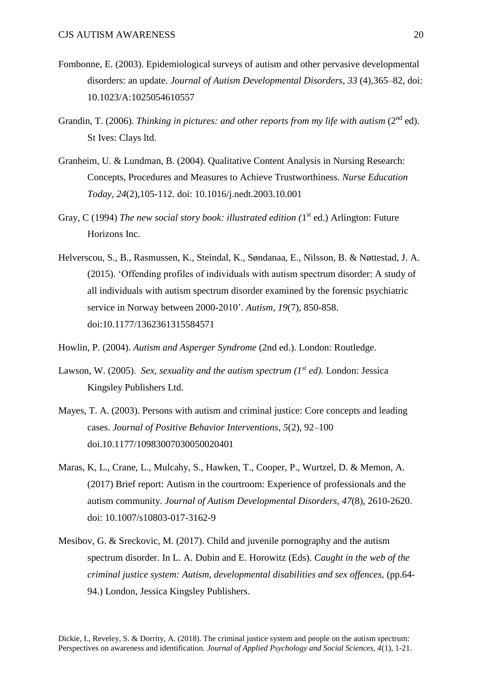- Fombonne, E. (2003). Epidemiological surveys of autism and other pervasive developmental disorders: an update. *Journal of Autism Developmental Disorders*, *33* (4),365–82, doi: 10.1023/A:1025054610557
- Grandin, T. (2006). *Thinking in pictures: and other reports from my life with autism* (2nd ed). St Ives: Clays ltd.
- Granheim, U. & Lundman, B. (2004). Qualitative Content Analysis in Nursing Research: Concepts, Procedures and Measures to Achieve Trustworthiness. *Nurse Education Today, 24*(2),105-112*.* doi: 10.1016/j.nedt.2003.10.001
- Gray, C (1994) *The new social story book: illustrated edition* (1<sup>st</sup> ed.) Arlington: Future Horizons Inc.
- Helverscou, S., B., Rasmussen, K., Steindal, K., Søndanaa, E., Nilsson, B. & Nøttestad, J. A. (2015). 'Offending profiles of individuals with autism spectrum disorder: A study of all individuals with autism spectrum disorder examined by the forensic psychiatric service in Norway between 2000-2010'. *Autism, 19*(7), 850-858. [doi:10.1177/1362361315584571](https://doi.org/10.1177/1362361315584571)
- Howlin, P. (2004). *Autism and Asperger Syndrome* (2nd ed.). London: Routledge.
- Lawson, W. (2005). *Sex, sexuality and the autism spectrum (1st ed).* London: Jessica Kingsley Publishers Ltd.
- Mayes, T. A. (2003). Persons with autism and criminal justice: Core concepts and leading cases. *Journal of Positive Behavior Interventions*, *5*(2), 92–100 [doi.10.1177/10983007030050020401](https://doi.org/10.1177/10983007030050020401)
- Maras, K, L., Crane, L., Mulcahy, S., Hawken, T., Cooper, P., Wurtzel, D. & Memon, A. (2017) Brief report: Autism in the courtroom: Experience of professionals and the autism community. *Journal of Autism Developmental Disorders, 47*(8), 2610-2620. doi: [10.1007/s10803-017-3162-9](http://dx.doi.org/10.1007/s10803-017-3162-9)
- Mesibov, G. & Sreckovic, M. (2017). Child and juvenile pornography and the autism spectrum disorder. In L. A. Dubin and E. Horowitz (Eds). *Caught in the web of the criminal justice system: Autism, developmental disabilities and sex offences,* (pp.64- 94.) London, Jessica Kingsley Publishers.